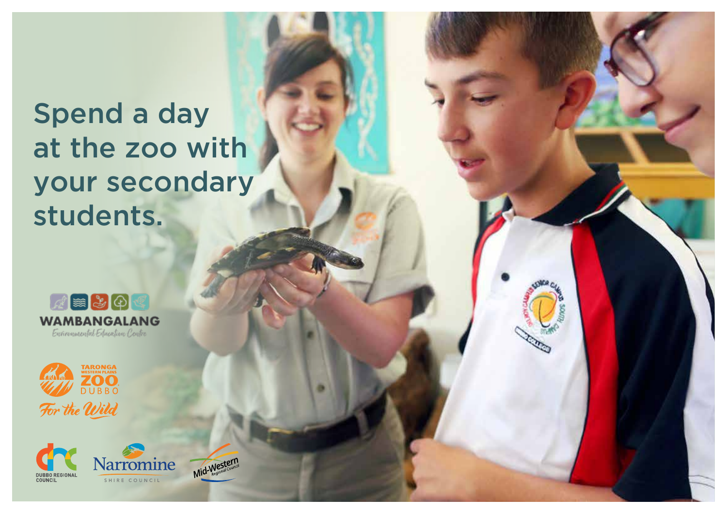# Spend a day at the zoo with your secondary students.







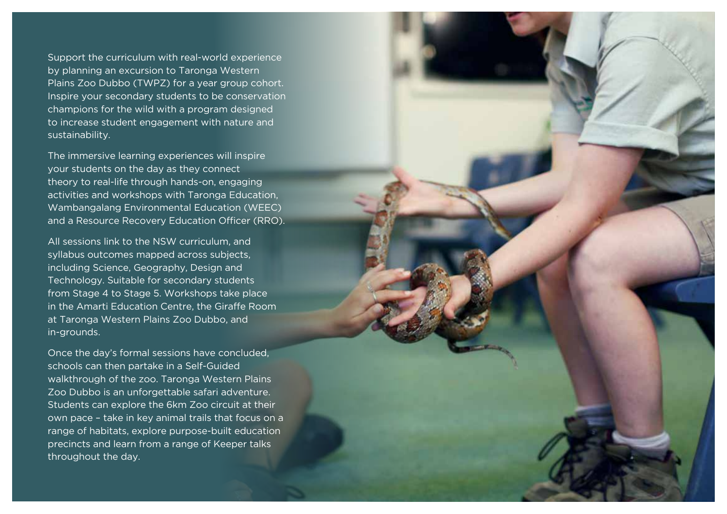Support the curriculum with real-world experience by planning an excursion to Taronga Western Plains Zoo Dubbo (TWPZ) for a year group cohort. Inspire your secondary students to be conservation champions for the wild with a program designed to increase student engagement with nature and sustainability.

The immersive learning experiences will inspire your students on the day as they connect theory to real-life through hands-on, engaging activities and workshops with Taronga Education, Wambangalang Environmental Education (WEEC) and a Resource Recovery Education Officer (RRO).

All sessions link to the NSW curriculum, and syllabus outcomes mapped across subjects, including Science, Geography, Design and Technology. Suitable for secondary students from Stage 4 to Stage 5. Workshops take place in the Amarti Education Centre, the Giraffe Room at Taronga Western Plains Zoo Dubbo, and in-grounds.

Once the day's formal sessions have concluded, schools can then partake in a Self-Guided walkthrough of the zoo. Taronga Western Plains Zoo Dubbo is an unforgettable safari adventure. Students can explore the 6km Zoo circuit at their own pace – take in key animal trails that focus on a range of habitats, explore purpose-built education precincts and learn from a range of Keeper talks throughout the day.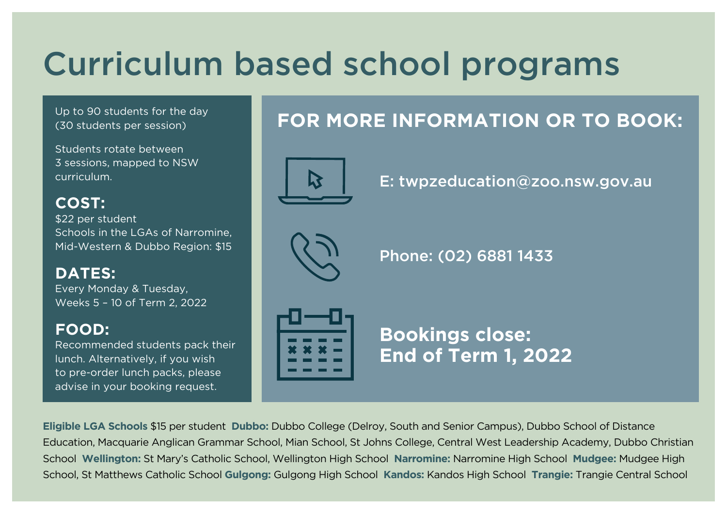# Curriculum based school programs

Up to 90 students for the day (30 students per session)

Students rotate between 3 sessions, mapped to NSW curriculum.

**COST:**  \$22 per student Schools in the LGAs of Narromine, Mid-Western & Dubbo Region: \$15

**DATES:** Every Monday & Tuesday, Weeks 5 – 10 of Term 2, 2022

### **FOOD:**

Recommended students pack their lunch. Alternatively, if you wish to pre-order lunch packs, please advise in your booking request.

# **FOR MORE INFORMATION OR TO BOOK:**



E: twpzeducation@zoo.nsw.gov.au



Phone: (02) 6881 1433



**Bookings close: End of Term 1, 2022**

**Eligible LGA Schools** \$15 per student **Dubbo:** Dubbo College (Delroy, South and Senior Campus), Dubbo School of Distance Education, Macquarie Anglican Grammar School, Mian School, St Johns College, Central West Leadership Academy, Dubbo Christian School **Wellington:** St Mary's Catholic School, Wellington High School **Narromine:** Narromine High School **Mudgee:** Mudgee High School, St Matthews Catholic School **Gulgong:** Gulgong High School **Kandos:** Kandos High School **Trangie:** Trangie Central School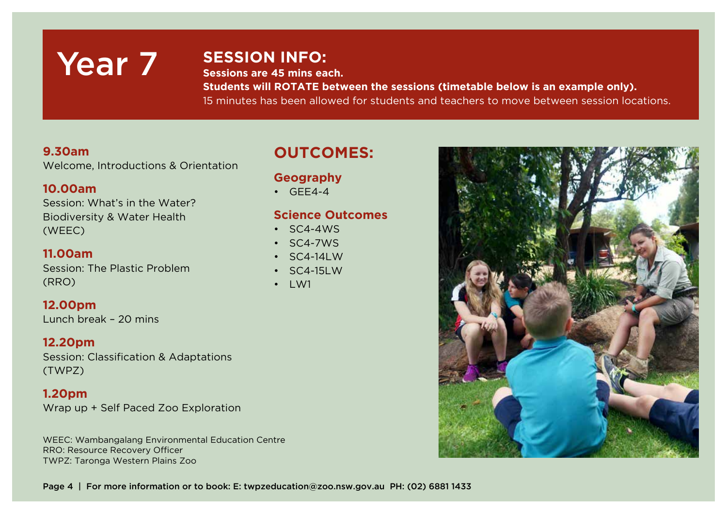# Year 7

### **SESSION INFO:**

**Sessions are 45 mins each.**

**Students will ROTATE between the sessions (timetable below is an example only).**  15 minutes has been allowed for students and teachers to move between session locations.

#### **9.30am**

Welcome, Introductions & Orientation

#### **10.00am**

Session: What's in the Water? Biodiversity & Water Health (WEEC)

#### **11.00am**

Session: The Plastic Problem (RRO)

#### **12.00pm**

Lunch break – 20 mins

#### **12.20pm** Session: Classification & Adaptations (TWPZ)

**1.20pm** Wrap up + Self Paced Zoo Exploration

WEEC: Wambangalang Environmental Education Centre RRO: Resource Recovery Officer TWPZ: Taronga Western Plains Zoo

### **OUTCOMES:**

### **Geography**

 $\cdot$  GFF4-4

#### **Science Outcomes**

- $\cdot$  SC4-4WS
- SC4-7WS
- SC4-14LW
- SC4-15LW
- $\bullet$  IW1



Page 4 | For more information or to book: E: twpzeducation@zoo.nsw.gov.au PH: (02) 6881 1433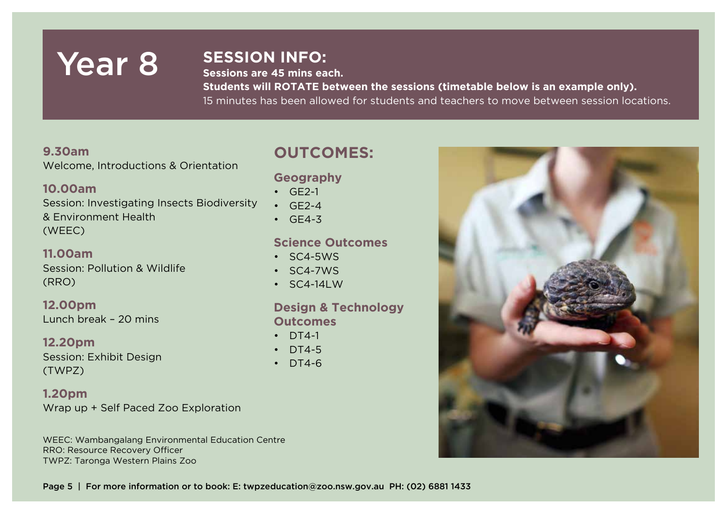# Year 8 SESSION INFO:

**Sessions are 45 mins each.**

**Students will ROTATE between the sessions (timetable below is an example only).**  15 minutes has been allowed for students and teachers to move between session locations.

#### **9.30am**

Welcome, Introductions & Orientation

#### **10.00am**

Session: Investigating Insects Biodiversity & Environment Health (WEEC)

#### **11.00am**

Session: Pollution & Wildlife (RRO)

**12.00pm** Lunch break – 20 mins

**12.20pm** Session: Exhibit Design (TWPZ)

**1.20pm** Wrap up + Self Paced Zoo Exploration

WEEC: Wambangalang Environmental Education Centre RRO: Resource Recovery Officer TWPZ: Taronga Western Plains Zoo

## **OUTCOMES:**

### **Geography**

- $\cdot$  GF2-1
- $\cdot$  GF2-4
- $\cdot$  GF4-3

#### **Science Outcomes**

- SC4-5WS
- SC4-7WS
- $\cdot$  SC4-14LW

#### **Design & Technology Outcomes**

- $\cdot$  DT4-1
- $\cdot$  DT4-5
- DT4-6

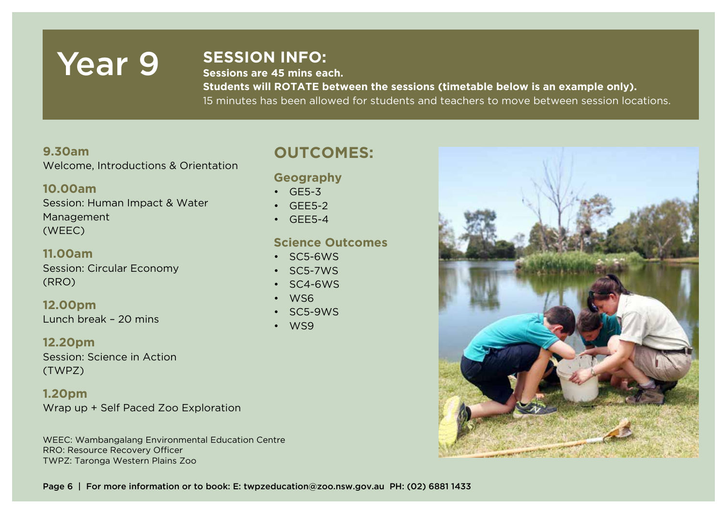# Year 9 SESSION INFO:

**Sessions are 45 mins each.**

**Students will ROTATE between the sessions (timetable below is an example only).**  15 minutes has been allowed for students and teachers to move between session locations.

#### **9.30am**

Welcome, Introductions & Orientation

#### **10.00am**

Session: Human Impact & Water Management (WEEC)

#### **11.00am** Session: Circular Economy (RRO)

**12.00pm** Lunch break – 20 mins

**12.20pm** Session: Science in Action (TWPZ)

**1.20pm** Wrap up + Self Paced Zoo Exploration

WEEC: Wambangalang Environmental Education Centre RRO: Resource Recovery Officer TWPZ: Taronga Western Plains Zoo

## **OUTCOMES:**

#### **Geography**

- GE5-3
- GEE5-2
- $\cdot$  GFF5-4

#### **Science Outcomes**

- SC5-6WS
- SC5-7WS
- SC4-6WS
- WS6
- SC5-9WS
- WS9



Page 6 | For more information or to book: E: twpzeducation@zoo.nsw.gov.au PH: (02) 6881 1433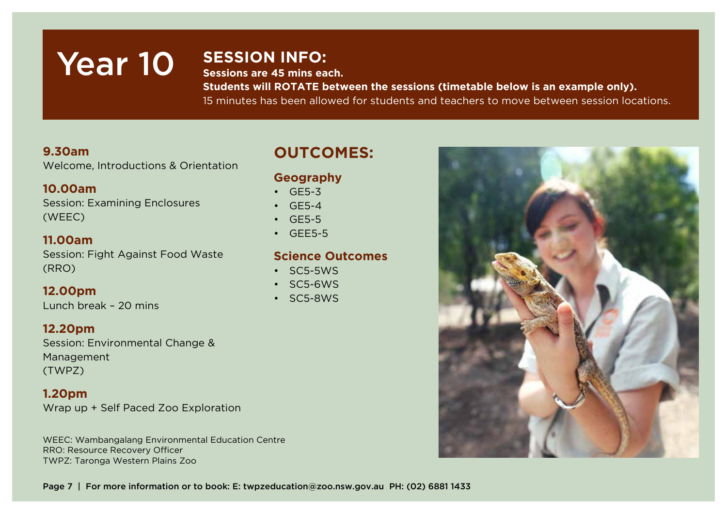# Year 10 **SESSION INFO:**

**Sessions are 45 mins each.**

**Students will ROTATE between the sessions (timetable below is an example only).**  15 minutes has been allowed for students and teachers to move between session locations.

#### **9.30am**

Welcome, Introductions & Orientation

#### **10.00am**

Session: Examining Enclosures (WEEC)

#### **11.00am**

Session: Fight Against Food Waste (RRO)

**12.00pm** Lunch break – 20 mins

# **12.20pm**

Session: Environmental Change & Management (TWPZ)

#### **1.20pm**

Wrap up + Self Paced Zoo Exploration

WEEC: Wambangalang Environmental Education Centre RRO: Resource Recovery Officer TWPZ: Taronga Western Plains Zoo

## **OUTCOMES:**

### **Geography**

• GE5-3

- GE5-4
- GE5-5
- GEE5-5

#### **Science Outcomes**

- SC5-5WS
- SC5-6WS
- SC5-8WS